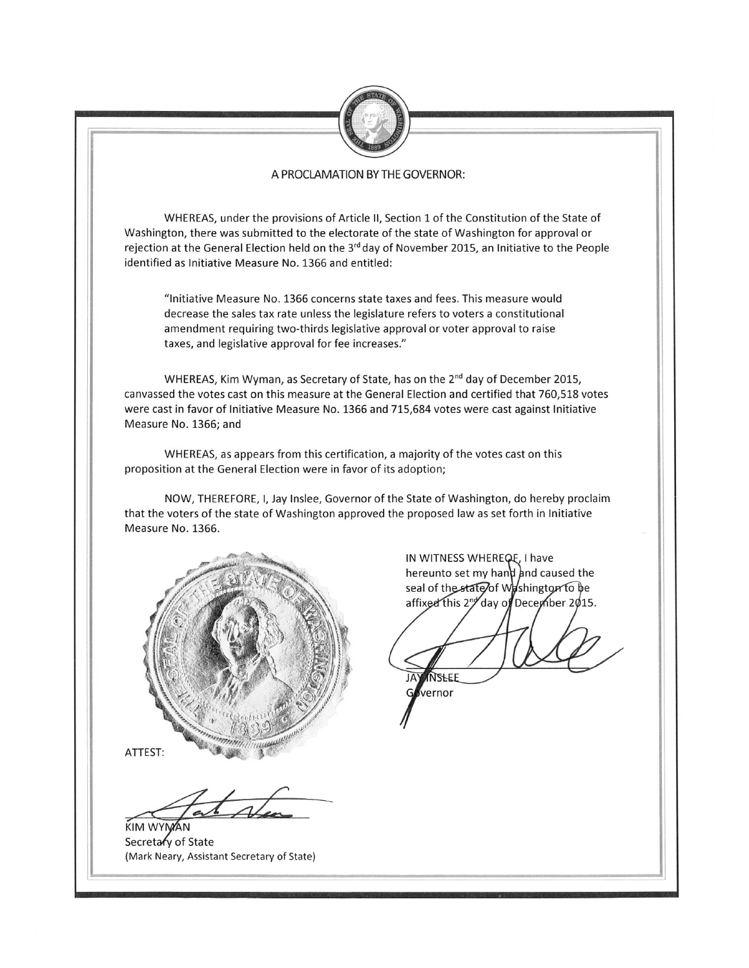

### A PROCLAMATION BY THE GOVERNOR:

WHEREAS, under the provisions of Article II, Section 1 of the Constitution of the State of Washington, there was submitted to the electorate of the state of Washington for approval or rejection at the General Election held on the 3<sup>rd</sup> day of November 2015, an Initiative to the People identified as Initiative Measure No. 1366 and entitled:

"Initiative Measure No. 1366 concerns state taxes and fees. This measure would decrease the sales tax rate unless the legislature refers to voters a constitutional amendment requiring two-thirds legislative approval or voter approval to raise taxes, and legislative approval for fee increases."

WHEREAS, Kim Wyman, as Secretary of State, has on the 2<sup>nd</sup> day of December 2015, canvassed the votes cast on this measure at the General Election and certified that 760.518 votes were cast in favor of Initiative Measure No. 1366 and 715,684 votes were cast against Initiative Measure No. 1366; and

WHEREAS, as appears from this certification, a majority of the votes cast on this proposition at the General Election were in favor of its adoption;

NOW, THEREFORE, I, Jay Inslee, Governor of the State of Washington, do hereby proclaim that the voters of the state of Washington approved the proposed law as set forth in Initiative Measure No. 1366.



ATTEST:

**KIM WYMAN** Secretary of State (Mark Neary, Assistant Secretary of State)

IN WITNESS WHEREQE, I have hereunto set my hand and caused the seal of the state of Washington to be affixed this 2<sup>nd</sup> day of December 2015.

NSHEF

vernor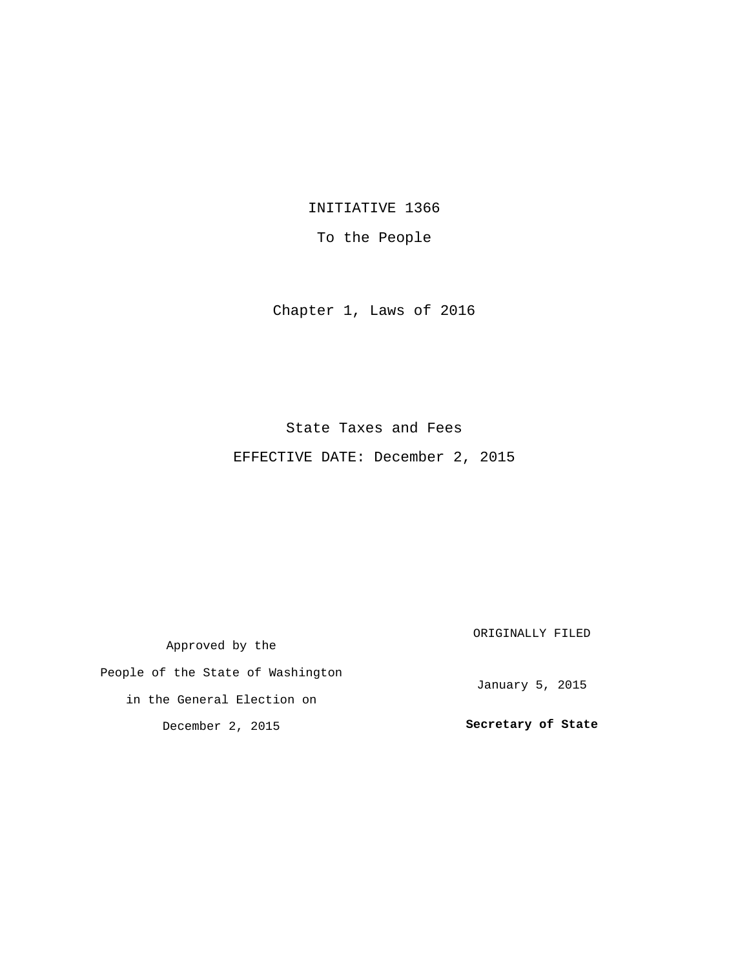INITIATIVE 1366

To the People

Chapter 1, Laws of 2016

## State Taxes and Fees

EFFECTIVE DATE: December 2, 2015

Approved by the People of the State of Washington in the General Election on December 2, 2015 ORIGINALLY FILED January 5, 2015 **Secretary of State**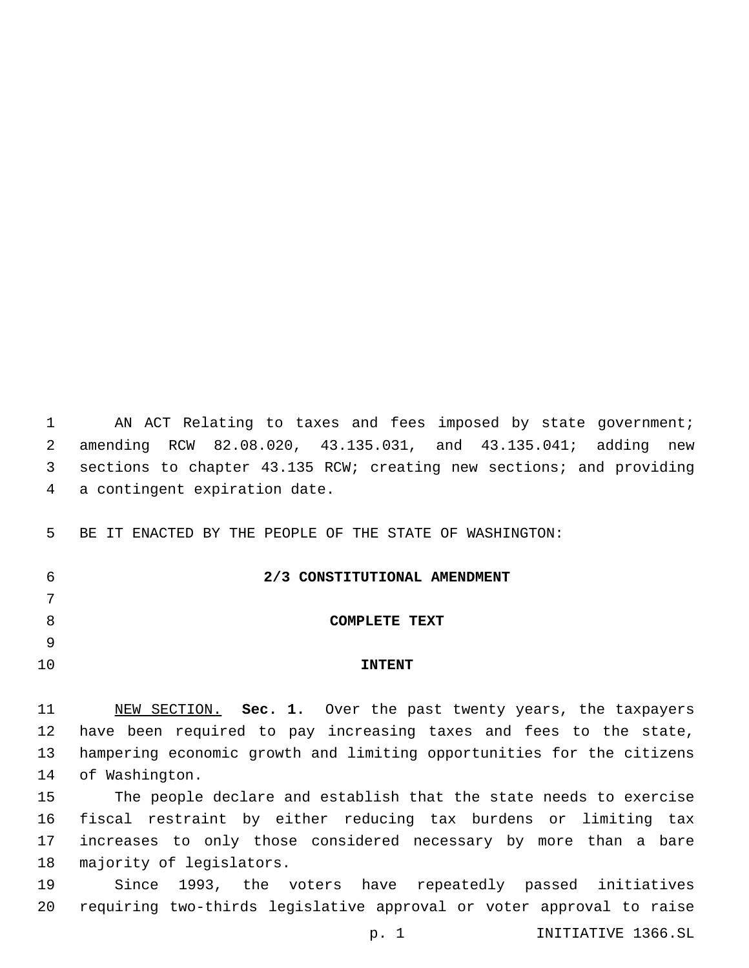1 AN ACT Relating to taxes and fees imposed by state government; amending RCW 82.08.020, 43.135.031, and 43.135.041; adding new sections to chapter 43.135 RCW; creating new sections; and providing 4 a contingent expiration date.

BE IT ENACTED BY THE PEOPLE OF THE STATE OF WASHINGTON:

 **2/3 CONSTITUTIONAL AMENDMENT** 

**COMPLETE TEXT**

# **INTENT**

 NEW SECTION. **Sec. 1.** Over the past twenty years, the taxpayers have been required to pay increasing taxes and fees to the state, hampering economic growth and limiting opportunities for the citizens of Washington.

 The people declare and establish that the state needs to exercise fiscal restraint by either reducing tax burdens or limiting tax increases to only those considered necessary by more than a bare 18 majority of legislators.

 Since 1993, the voters have repeatedly passed initiatives requiring two-thirds legislative approval or voter approval to raise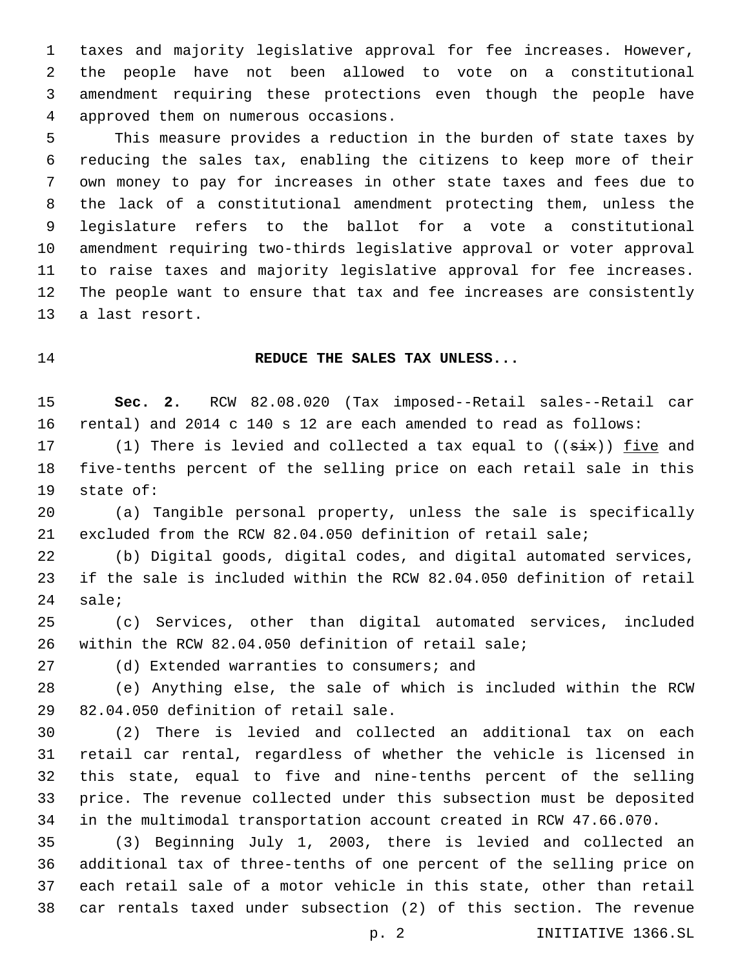taxes and majority legislative approval for fee increases. However, the people have not been allowed to vote on a constitutional amendment requiring these protections even though the people have approved them on numerous occasions.4

 This measure provides a reduction in the burden of state taxes by reducing the sales tax, enabling the citizens to keep more of their own money to pay for increases in other state taxes and fees due to the lack of a constitutional amendment protecting them, unless the legislature refers to the ballot for a vote a constitutional amendment requiring two-thirds legislative approval or voter approval to raise taxes and majority legislative approval for fee increases. The people want to ensure that tax and fee increases are consistently 13 a last resort.

#### **REDUCE THE SALES TAX UNLESS...**

 **Sec. 2.** RCW 82.08.020 (Tax imposed--Retail sales--Retail car rental) and 2014 c 140 s 12 are each amended to read as follows:

17 (1) There is levied and collected a tax equal to  $((six))$  five and five-tenths percent of the selling price on each retail sale in this 19 state of:

 (a) Tangible personal property, unless the sale is specifically excluded from the RCW 82.04.050 definition of retail sale;

 (b) Digital goods, digital codes, and digital automated services, if the sale is included within the RCW 82.04.050 definition of retail sale;

 (c) Services, other than digital automated services, included within the RCW 82.04.050 definition of retail sale;

27 (d) Extended warranties to consumers; and

 (e) Anything else, the sale of which is included within the RCW 29 82.04.050 definition of retail sale.

 (2) There is levied and collected an additional tax on each retail car rental, regardless of whether the vehicle is licensed in this state, equal to five and nine-tenths percent of the selling price. The revenue collected under this subsection must be deposited in the multimodal transportation account created in RCW 47.66.070.

 (3) Beginning July 1, 2003, there is levied and collected an additional tax of three-tenths of one percent of the selling price on each retail sale of a motor vehicle in this state, other than retail car rentals taxed under subsection (2) of this section. The revenue

p. 2 INITIATIVE 1366.SL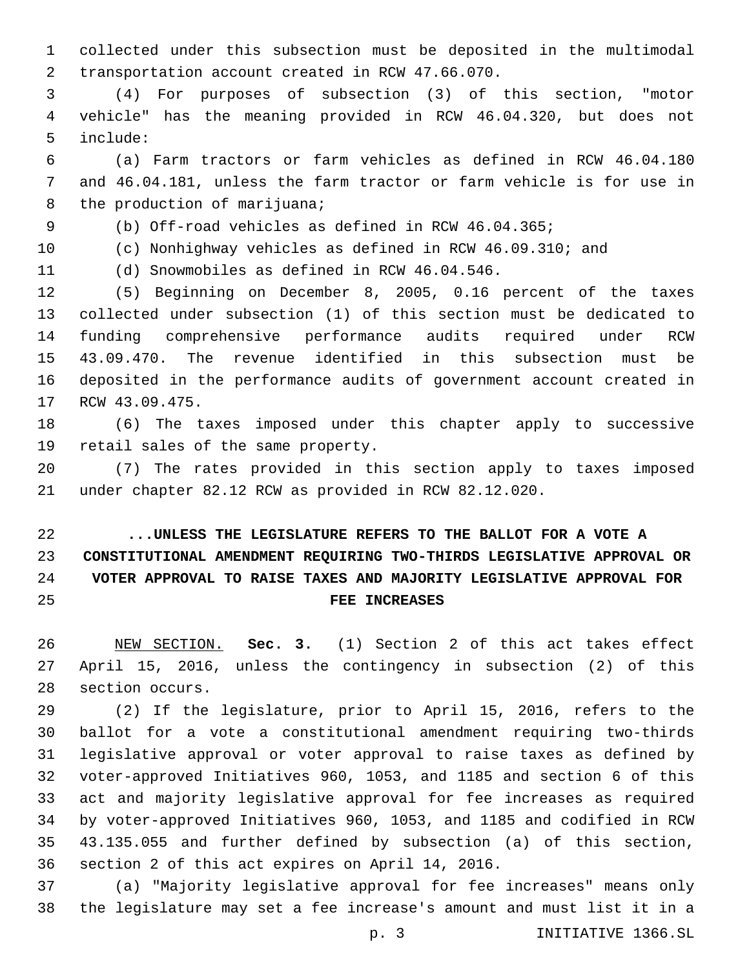collected under this subsection must be deposited in the multimodal transportation account created in RCW 47.66.070.2

 (4) For purposes of subsection (3) of this section, "motor vehicle" has the meaning provided in RCW 46.04.320, but does not include:5

 (a) Farm tractors or farm vehicles as defined in RCW 46.04.180 and 46.04.181, unless the farm tractor or farm vehicle is for use in 8 the production of marijuana;

(b) Off-road vehicles as defined in RCW 46.04.365;

(c) Nonhighway vehicles as defined in RCW 46.09.310; and

11 (d) Snowmobiles as defined in RCW 46.04.546.

 (5) Beginning on December 8, 2005, 0.16 percent of the taxes collected under subsection (1) of this section must be dedicated to funding comprehensive performance audits required under RCW 43.09.470. The revenue identified in this subsection must be deposited in the performance audits of government account created in 17 RCW 43.09.475.

 (6) The taxes imposed under this chapter apply to successive 19 retail sales of the same property.

 (7) The rates provided in this section apply to taxes imposed under chapter 82.12 RCW as provided in RCW 82.12.020.

 **...UNLESS THE LEGISLATURE REFERS TO THE BALLOT FOR A VOTE A CONSTITUTIONAL AMENDMENT REQUIRING TWO-THIRDS LEGISLATIVE APPROVAL OR VOTER APPROVAL TO RAISE TAXES AND MAJORITY LEGISLATIVE APPROVAL FOR FEE INCREASES**

 NEW SECTION. **Sec. 3.** (1) Section 2 of this act takes effect April 15, 2016, unless the contingency in subsection (2) of this section occurs.

 (2) If the legislature, prior to April 15, 2016, refers to the ballot for a vote a constitutional amendment requiring two-thirds legislative approval or voter approval to raise taxes as defined by voter-approved Initiatives 960, 1053, and 1185 and section 6 of this act and majority legislative approval for fee increases as required by voter-approved Initiatives 960, 1053, and 1185 and codified in RCW 43.135.055 and further defined by subsection (a) of this section, 36 section 2 of this act expires on April 14, 2016.

 (a) "Majority legislative approval for fee increases" means only the legislature may set a fee increase's amount and must list it in a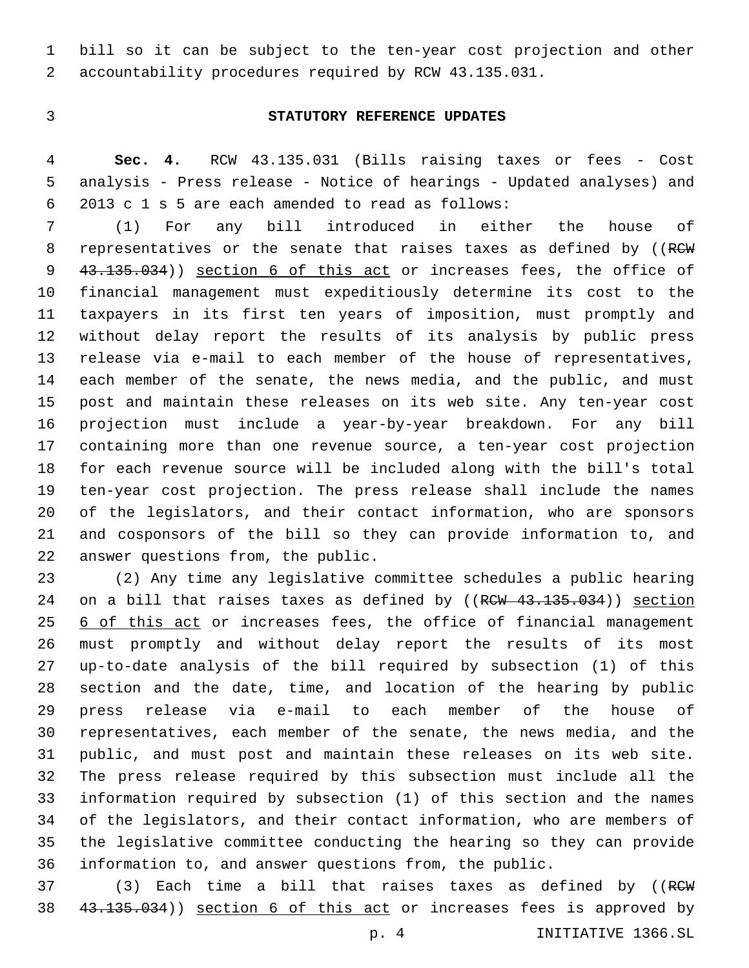bill so it can be subject to the ten-year cost projection and other accountability procedures required by RCW 43.135.031.

#### **STATUTORY REFERENCE UPDATES**

 **Sec. 4.** RCW 43.135.031 (Bills raising taxes or fees - Cost analysis - Press release - Notice of hearings - Updated analyses) and 2013 c 1 s 5 are each amended to read as follows:6

 (1) For any bill introduced in either the house of 8 representatives or the senate that raises taxes as defined by ((RCW) 9 43.135.034)) section 6 of this act or increases fees, the office of financial management must expeditiously determine its cost to the taxpayers in its first ten years of imposition, must promptly and without delay report the results of its analysis by public press release via e-mail to each member of the house of representatives, each member of the senate, the news media, and the public, and must post and maintain these releases on its web site. Any ten-year cost projection must include a year-by-year breakdown. For any bill containing more than one revenue source, a ten-year cost projection for each revenue source will be included along with the bill's total ten-year cost projection. The press release shall include the names of the legislators, and their contact information, who are sponsors and cosponsors of the bill so they can provide information to, and 22 answer questions from, the public.

 (2) Any time any legislative committee schedules a public hearing 24 on a bill that raises taxes as defined by ((RCW 43.135.034)) section 25 6 of this act or increases fees, the office of financial management must promptly and without delay report the results of its most up-to-date analysis of the bill required by subsection (1) of this section and the date, time, and location of the hearing by public press release via e-mail to each member of the house of representatives, each member of the senate, the news media, and the public, and must post and maintain these releases on its web site. The press release required by this subsection must include all the information required by subsection (1) of this section and the names of the legislators, and their contact information, who are members of the legislative committee conducting the hearing so they can provide information to, and answer questions from, the public.

37 (3) Each time a bill that raises taxes as defined by ((RCW) 38 43.135.034)) section 6 of this act or increases fees is approved by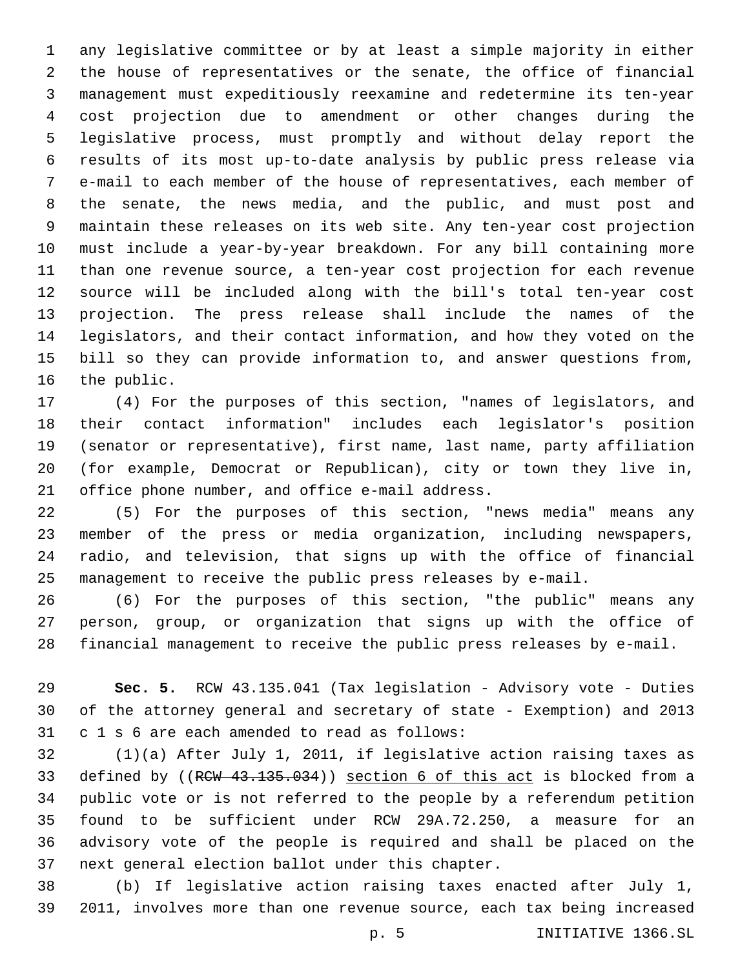any legislative committee or by at least a simple majority in either the house of representatives or the senate, the office of financial management must expeditiously reexamine and redetermine its ten-year cost projection due to amendment or other changes during the legislative process, must promptly and without delay report the results of its most up-to-date analysis by public press release via e-mail to each member of the house of representatives, each member of the senate, the news media, and the public, and must post and maintain these releases on its web site. Any ten-year cost projection must include a year-by-year breakdown. For any bill containing more than one revenue source, a ten-year cost projection for each revenue source will be included along with the bill's total ten-year cost projection. The press release shall include the names of the legislators, and their contact information, and how they voted on the bill so they can provide information to, and answer questions from, 16 the public.

 (4) For the purposes of this section, "names of legislators, and their contact information" includes each legislator's position (senator or representative), first name, last name, party affiliation (for example, Democrat or Republican), city or town they live in, 21 office phone number, and office e-mail address.

 (5) For the purposes of this section, "news media" means any member of the press or media organization, including newspapers, radio, and television, that signs up with the office of financial management to receive the public press releases by e-mail.

 (6) For the purposes of this section, "the public" means any person, group, or organization that signs up with the office of financial management to receive the public press releases by e-mail.

 **Sec. 5.** RCW 43.135.041 (Tax legislation - Advisory vote - Duties of the attorney general and secretary of state - Exemption) and 2013 31 c 1 s 6 are each amended to read as follows:

 (1)(a) After July 1, 2011, if legislative action raising taxes as 33 defined by ((RCW 43.135.034)) section 6 of this act is blocked from a public vote or is not referred to the people by a referendum petition found to be sufficient under RCW 29A.72.250, a measure for an advisory vote of the people is required and shall be placed on the 37 next general election ballot under this chapter.

 (b) If legislative action raising taxes enacted after July 1, 2011, involves more than one revenue source, each tax being increased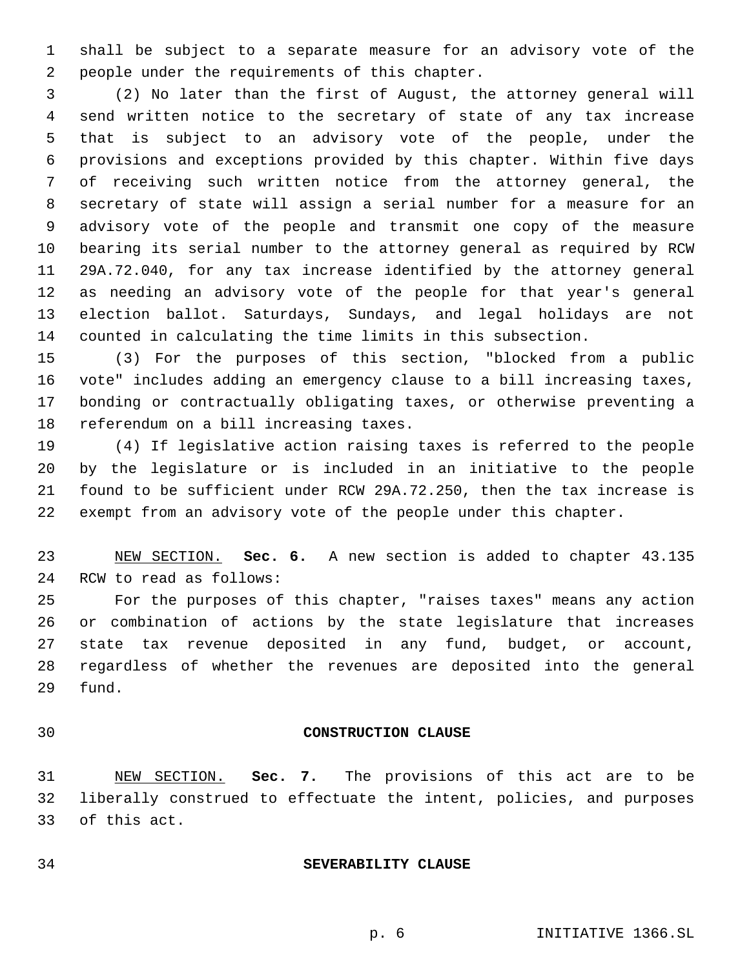shall be subject to a separate measure for an advisory vote of the 2 people under the requirements of this chapter.

 (2) No later than the first of August, the attorney general will send written notice to the secretary of state of any tax increase that is subject to an advisory vote of the people, under the provisions and exceptions provided by this chapter. Within five days of receiving such written notice from the attorney general, the secretary of state will assign a serial number for a measure for an advisory vote of the people and transmit one copy of the measure bearing its serial number to the attorney general as required by RCW 29A.72.040, for any tax increase identified by the attorney general as needing an advisory vote of the people for that year's general election ballot. Saturdays, Sundays, and legal holidays are not counted in calculating the time limits in this subsection.

 (3) For the purposes of this section, "blocked from a public vote" includes adding an emergency clause to a bill increasing taxes, bonding or contractually obligating taxes, or otherwise preventing a 18 referendum on a bill increasing taxes.

 (4) If legislative action raising taxes is referred to the people by the legislature or is included in an initiative to the people found to be sufficient under RCW 29A.72.250, then the tax increase is exempt from an advisory vote of the people under this chapter.

 NEW SECTION. **Sec. 6.** A new section is added to chapter 43.135 24 RCW to read as follows:

 For the purposes of this chapter, "raises taxes" means any action or combination of actions by the state legislature that increases state tax revenue deposited in any fund, budget, or account, regardless of whether the revenues are deposited into the general 29 fund.

#### **CONSTRUCTION CLAUSE**

 NEW SECTION. **Sec. 7.** The provisions of this act are to be liberally construed to effectuate the intent, policies, and purposes of this act.

#### **SEVERABILITY CLAUSE**